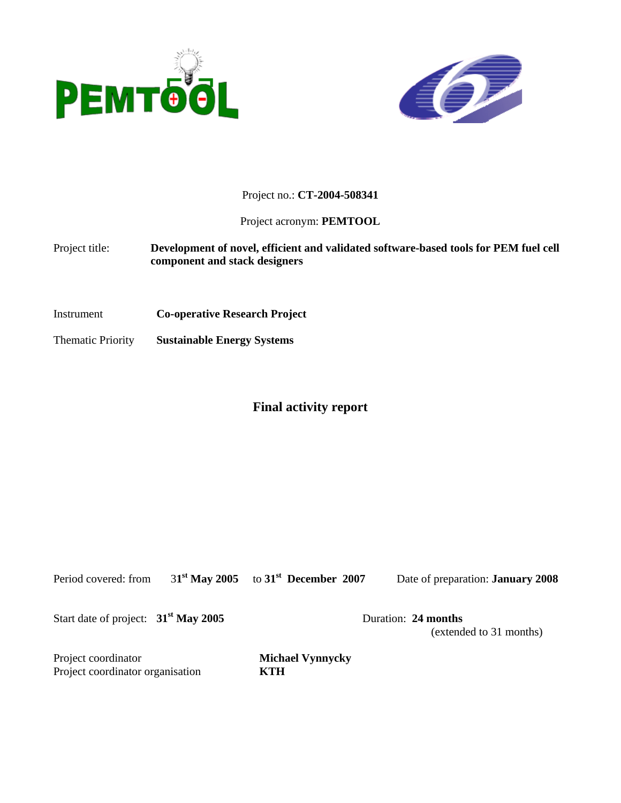



Project no.: **CT-2004-508341**

Project acronym: **PEMTOOL**

Project title: **Development of novel, efficient and validated software-based tools for PEM fuel cell component and stack designers** 

Instrument **Co-operative Research Project**

Thematic Priority **Sustainable Energy Systems**

# **Final activity report**

Period covered: from 3**1st May 2005** to **31st December 2007** Date of preparation: **January 2008**

Start date of project:  $31^{\text{st}}$  May 2005 Duration: 24 months

(extended to 31 months)

Project coordinator **Michael Vynnycky**  Project coordinator organisation **KTH**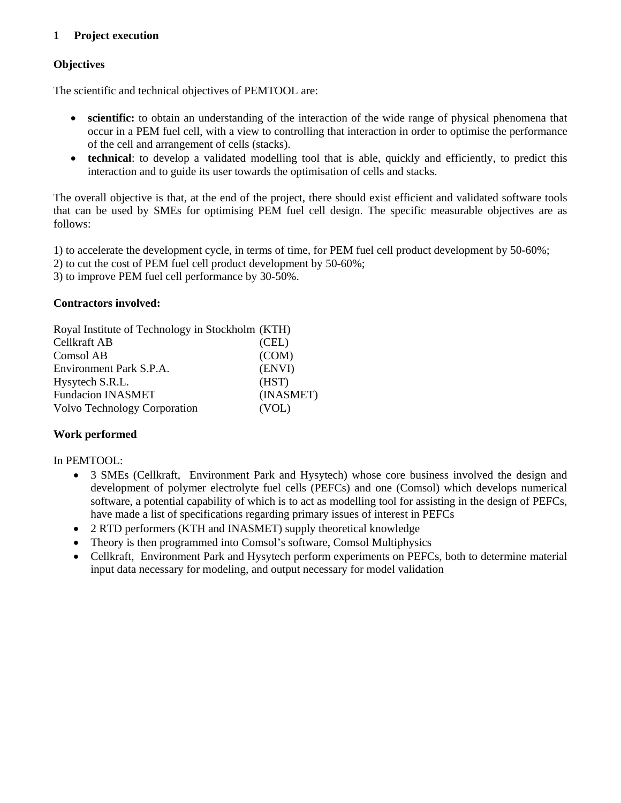# **1 Project execution**

# **Objectives**

The scientific and technical objectives of PEMTOOL are:

- **scientific:** to obtain an understanding of the interaction of the wide range of physical phenomena that occur in a PEM fuel cell, with a view to controlling that interaction in order to optimise the performance of the cell and arrangement of cells (stacks).
- **technical**: to develop a validated modelling tool that is able, quickly and efficiently, to predict this interaction and to guide its user towards the optimisation of cells and stacks.

The overall objective is that, at the end of the project, there should exist efficient and validated software tools that can be used by SMEs for optimising PEM fuel cell design. The specific measurable objectives are as follows:

1) to accelerate the development cycle, in terms of time, for PEM fuel cell product development by 50-60%;

- 2) to cut the cost of PEM fuel cell product development by 50-60%;
- 3) to improve PEM fuel cell performance by 30-50%.

#### **Contractors involved:**

| Royal Institute of Technology in Stockholm (KTH) |           |
|--------------------------------------------------|-----------|
| Cellkraft AB                                     | (CEL)     |
| Comsol AB                                        | (COM)     |
| Environment Park S.P.A.                          | (ENVI)    |
| Hysytech S.R.L.                                  | (HST)     |
| <b>Fundacion INASMET</b>                         | (INASMET) |
| Volvo Technology Corporation                     | (VOL)     |

# **Work performed**

#### In PEMTOOL:

- 3 SMEs (Cellkraft, Environment Park and Hysytech) whose core business involved the design and development of polymer electrolyte fuel cells (PEFCs) and one (Comsol) which develops numerical software, a potential capability of which is to act as modelling tool for assisting in the design of PEFCs, have made a list of specifications regarding primary issues of interest in PEFCs
- 2 RTD performers (KTH and INASMET) supply theoretical knowledge
- Theory is then programmed into Comsol's software, Comsol Multiphysics
- Cellkraft, Environment Park and Hysytech perform experiments on PEFCs, both to determine material input data necessary for modeling, and output necessary for model validation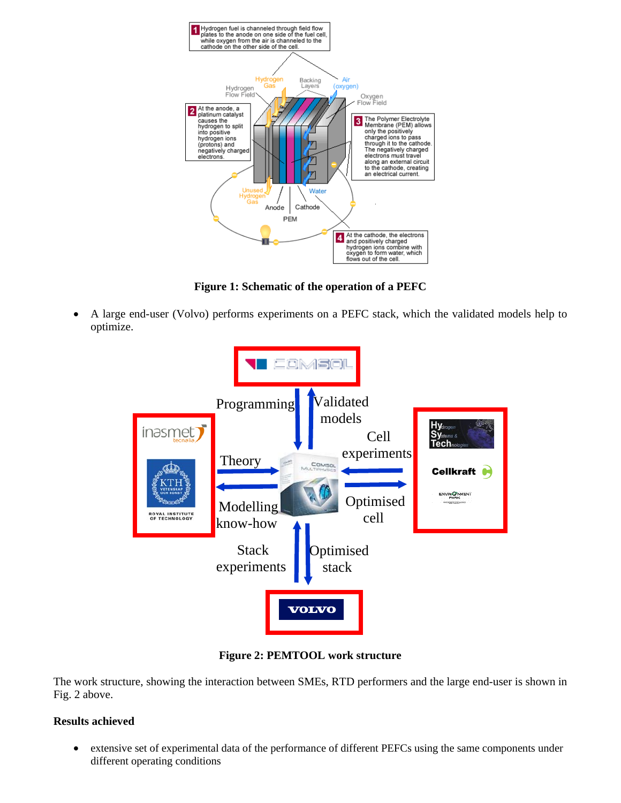

**Figure 1: Schematic of the operation of a PEFC** 

• A large end-user (Volvo) performs experiments on a PEFC stack, which the validated models help to optimize.



**Figure 2: PEMTOOL work structure** 

The work structure, showing the interaction between SMEs, RTD performers and the large end-user is shown in Fig. 2 above.

# **Results achieved**

• extensive set of experimental data of the performance of different PEFCs using the same components under different operating conditions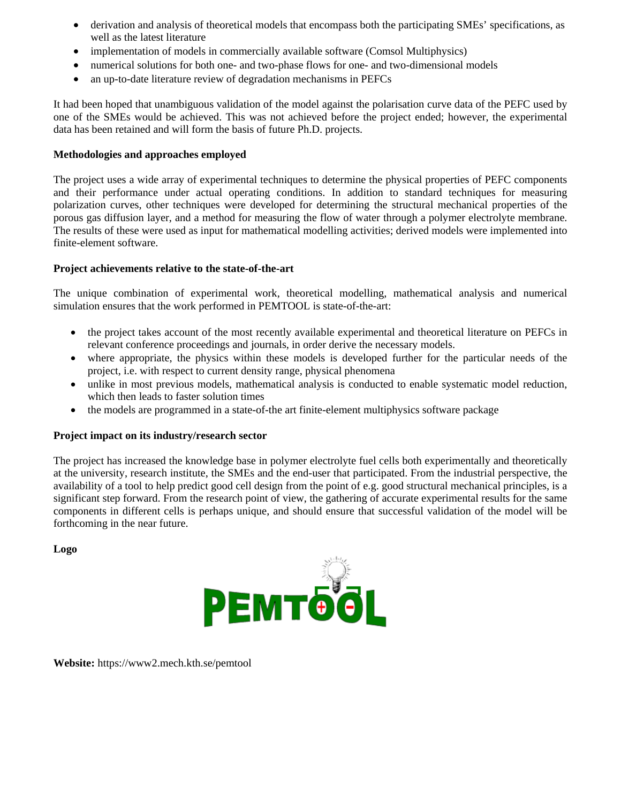- derivation and analysis of theoretical models that encompass both the participating SMEs' specifications, as well as the latest literature
- implementation of models in commercially available software (Comsol Multiphysics)
- numerical solutions for both one- and two-phase flows for one- and two-dimensional models
- an up-to-date literature review of degradation mechanisms in PEFCs

It had been hoped that unambiguous validation of the model against the polarisation curve data of the PEFC used by one of the SMEs would be achieved. This was not achieved before the project ended; however, the experimental data has been retained and will form the basis of future Ph.D. projects.

#### **Methodologies and approaches employed**

The project uses a wide array of experimental techniques to determine the physical properties of PEFC components and their performance under actual operating conditions. In addition to standard techniques for measuring polarization curves, other techniques were developed for determining the structural mechanical properties of the porous gas diffusion layer, and a method for measuring the flow of water through a polymer electrolyte membrane. The results of these were used as input for mathematical modelling activities; derived models were implemented into finite-element software.

### **Project achievements relative to the state-of-the-art**

The unique combination of experimental work, theoretical modelling, mathematical analysis and numerical simulation ensures that the work performed in PEMTOOL is state-of-the-art:

- the project takes account of the most recently available experimental and theoretical literature on PEFCs in relevant conference proceedings and journals, in order derive the necessary models.
- where appropriate, the physics within these models is developed further for the particular needs of the project, i.e. with respect to current density range, physical phenomena
- unlike in most previous models, mathematical analysis is conducted to enable systematic model reduction, which then leads to faster solution times
- the models are programmed in a state-of-the art finite-element multiphysics software package

#### **Project impact on its industry/research sector**

The project has increased the knowledge base in polymer electrolyte fuel cells both experimentally and theoretically at the university, research institute, the SMEs and the end-user that participated. From the industrial perspective, the availability of a tool to help predict good cell design from the point of e.g. good structural mechanical principles, is a significant step forward. From the research point of view, the gathering of accurate experimental results for the same components in different cells is perhaps unique, and should ensure that successful validation of the model will be forthcoming in the near future.

**Logo**



**Website:** https://www2.mech.kth.se/pemtool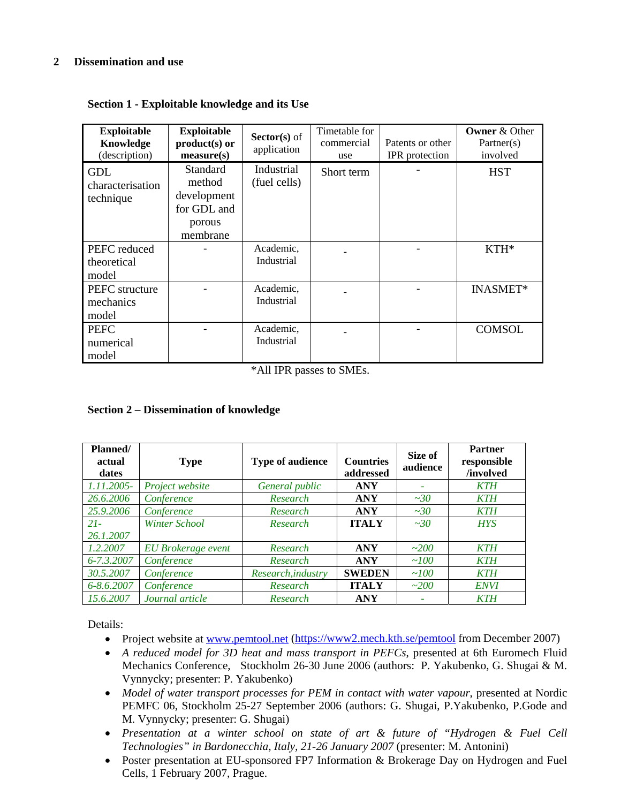## **2 Dissemination and use**

| <b>Exploitable</b><br>Knowledge<br>(description) | <b>Exploitable</b><br>$product(s)$ or<br>measure(s)                    | Sector(s) of<br>application | Timetable for<br>commercial<br>use | Patents or other<br>IPR protection | <b>Owner &amp; Other</b><br>Partner(s)<br>involved |
|--------------------------------------------------|------------------------------------------------------------------------|-----------------------------|------------------------------------|------------------------------------|----------------------------------------------------|
| GDL<br>characterisation<br>technique             | Standard<br>method<br>development<br>for GDL and<br>porous<br>membrane | Industrial<br>(fuel cells)  | Short term                         |                                    | <b>HST</b>                                         |
| PEFC reduced<br>theoretical<br>model             |                                                                        | Academic,<br>Industrial     |                                    |                                    | $KTH*$                                             |
| PEFC structure<br>mechanics<br>model             |                                                                        | Academic,<br>Industrial     |                                    |                                    | <b>INASMET*</b>                                    |
| <b>PEFC</b><br>numerical<br>model                |                                                                        | Academic,<br>Industrial     |                                    |                                    | <b>COMSOL</b>                                      |

**Section 1 - Exploitable knowledge and its Use**

\*All IPR passes to SMEs.

#### **Section 2 – Dissemination of knowledge**

| Planned/<br>actual<br>dates | <b>Type</b>          | <b>Type of audience</b> | <b>Countries</b><br>addressed | Size of<br>audience | <b>Partner</b><br>responsible<br>/involved |
|-----------------------------|----------------------|-------------------------|-------------------------------|---------------------|--------------------------------------------|
| 1.11.2005-                  | Project website      | General public          | <b>ANY</b>                    |                     | <b>KTH</b>                                 |
| 26.6.2006                   | Conference           | Research                | <b>ANY</b>                    | $\sim 30$           | <b>KTH</b>                                 |
| 25.9.2006                   | Conference           | Research                | <b>ANY</b>                    | $\sim 30$           | <b>KTH</b>                                 |
| $21 -$                      | <b>Winter School</b> | Research                | <b>ITALY</b>                  | $\sim 30$           | <b>HYS</b>                                 |
| 26.1.2007                   |                      |                         |                               |                     |                                            |
| 1.2.2007                    | EU Brokerage event   | Research                | <b>ANY</b>                    | ~200                | <b>KTH</b>                                 |
| 6-7.3.2007                  | Conference           | Research                | <b>ANY</b>                    | ~100                | <b>KTH</b>                                 |
| 30.5.2007                   | Conference           | Research, industry      | <b>SWEDEN</b>                 | ~100                | <b>KTH</b>                                 |
| $6 - 8.62007$               | Conference           | Research                | <b>ITALY</b>                  | ~200                | <b>ENVI</b>                                |
| 15.6.2007                   | Journal article      | Research                | <b>ANY</b>                    |                     | <b>KTH</b>                                 |

Details:

- Project website at www.pemtool.net (https://www2.mech.kth.se/pemtool from December 2007)
- *A reduced model for 3D heat and mass transport in PEFCs*, presented at 6th Euromech Fluid Mechanics Conference, Stockholm 26-30 June 2006 (authors: P. Yakubenko, G. Shugai & M. Vynnycky; presenter: P. Yakubenko)
- *Model of water transport processes for PEM in contact with water vapour*, presented at Nordic PEMFC 06, Stockholm 25-27 September 2006 (authors: G. Shugai, P.Yakubenko, P.Gode and M. Vynnycky; presenter: G. Shugai)
- *Presentation at a winter school on state of art & future of "Hydrogen & Fuel Cell Technologies" in Bardonecchia, Italy, 21-26 January 2007* (presenter: M. Antonini)
- Poster presentation at EU-sponsored FP7 Information & Brokerage Day on Hydrogen and Fuel Cells, 1 February 2007, Prague.